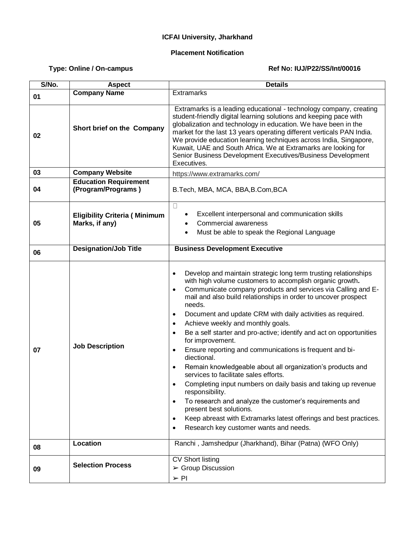## **ICFAI University, Jharkhand**

## **Placement Notification**

## Type: Online / On-campus **Ref No: IUJ/P22/SS/Int/00016**

| S/No. | <b>Aspect</b>                                          | <b>Details</b>                                                                                                                                                                                                                                                                                                                                                                                                                                                                                                                                                                                                                                                                                                                                                                                                                                                                                                                                                                                                                                                                    |
|-------|--------------------------------------------------------|-----------------------------------------------------------------------------------------------------------------------------------------------------------------------------------------------------------------------------------------------------------------------------------------------------------------------------------------------------------------------------------------------------------------------------------------------------------------------------------------------------------------------------------------------------------------------------------------------------------------------------------------------------------------------------------------------------------------------------------------------------------------------------------------------------------------------------------------------------------------------------------------------------------------------------------------------------------------------------------------------------------------------------------------------------------------------------------|
| 01    | <b>Company Name</b>                                    | <b>Extramarks</b>                                                                                                                                                                                                                                                                                                                                                                                                                                                                                                                                                                                                                                                                                                                                                                                                                                                                                                                                                                                                                                                                 |
| 02    | Short brief on the Company                             | Extramarks is a leading educational - technology company, creating<br>student-friendly digital learning solutions and keeping pace with<br>globalization and technology in education. We have been in the<br>market for the last 13 years operating different verticals PAN India.<br>We provide education learning techniques across India, Singapore,<br>Kuwait, UAE and South Africa. We at Extramarks are looking for<br>Senior Business Development Executives/Business Development<br>Executives.                                                                                                                                                                                                                                                                                                                                                                                                                                                                                                                                                                           |
| 03    | <b>Company Website</b>                                 | https://www.extramarks.com/                                                                                                                                                                                                                                                                                                                                                                                                                                                                                                                                                                                                                                                                                                                                                                                                                                                                                                                                                                                                                                                       |
| 04    | <b>Education Requirement</b><br>(Program/Programs)     | B.Tech, MBA, MCA, BBA, B.Com, BCA                                                                                                                                                                                                                                                                                                                                                                                                                                                                                                                                                                                                                                                                                                                                                                                                                                                                                                                                                                                                                                                 |
| 05    | <b>Eligibility Criteria (Minimum</b><br>Marks, if any) | $\Box$<br>Excellent interpersonal and communication skills<br>٠<br><b>Commercial awareness</b><br>Must be able to speak the Regional Language                                                                                                                                                                                                                                                                                                                                                                                                                                                                                                                                                                                                                                                                                                                                                                                                                                                                                                                                     |
| 06    | <b>Designation/Job Title</b>                           | <b>Business Development Executive</b>                                                                                                                                                                                                                                                                                                                                                                                                                                                                                                                                                                                                                                                                                                                                                                                                                                                                                                                                                                                                                                             |
| 07    | <b>Job Description</b>                                 | Develop and maintain strategic long term trusting relationships<br>$\bullet$<br>with high volume customers to accomplish organic growth.<br>Communicate company products and services via Calling and E-<br>$\bullet$<br>mail and also build relationships in order to uncover prospect<br>needs.<br>Document and update CRM with daily activities as required.<br>$\bullet$<br>Achieve weekly and monthly goals.<br>$\bullet$<br>Be a self starter and pro-active; identify and act on opportunities<br>$\bullet$<br>for improvement.<br>Ensure reporting and communications is frequent and bi-<br>$\bullet$<br>diectional.<br>Remain knowledgeable about all organization's products and<br>$\bullet$<br>services to facilitate sales efforts.<br>Completing input numbers on daily basis and taking up revenue<br>responsibility.<br>To research and analyze the customer's requirements and<br>$\bullet$<br>present best solutions.<br>Keep abreast with Extramarks latest offerings and best practices.<br>$\bullet$<br>Research key customer wants and needs.<br>$\bullet$ |
| 08    | Location                                               | Ranchi, Jamshedpur (Jharkhand), Bihar (Patna) (WFO Only)                                                                                                                                                                                                                                                                                                                                                                                                                                                                                                                                                                                                                                                                                                                                                                                                                                                                                                                                                                                                                          |
| 09    | <b>Selection Process</b>                               | <b>CV Short listing</b><br>$\triangleright$ Group Discussion<br>$>$ PI                                                                                                                                                                                                                                                                                                                                                                                                                                                                                                                                                                                                                                                                                                                                                                                                                                                                                                                                                                                                            |